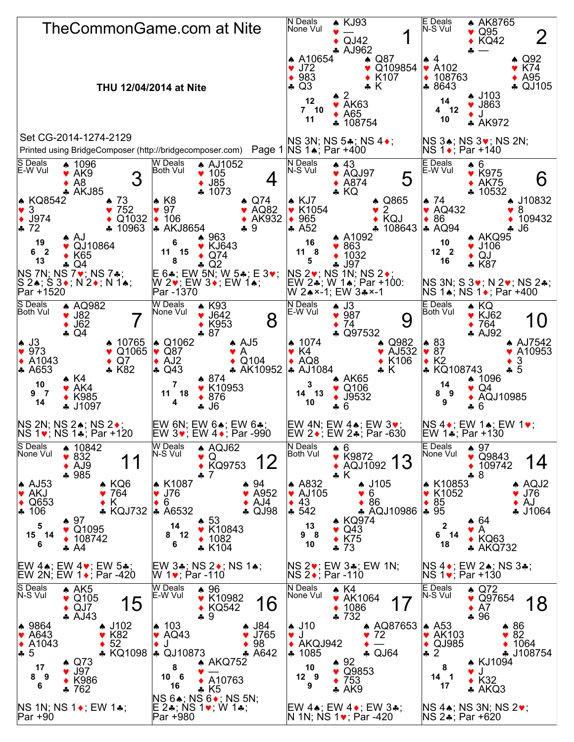